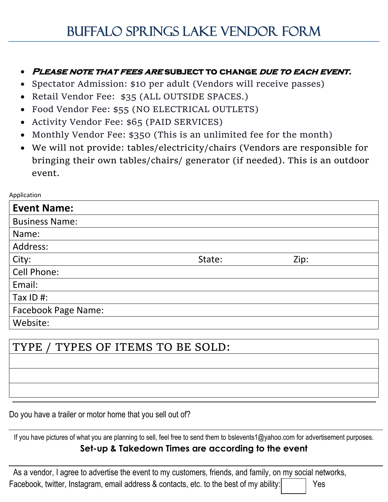## • **Please note that fees are subject to change due to each event.**

- Spectator Admission: \$10 per adult (Vendors will receive passes)
- Retail Vendor Fee: \$35 (ALL OUTSIDE SPACES.)
- Food Vendor Fee: \$55 (NO ELECTRICAL OUTLETS)
- Activity Vendor Fee: \$65 (PAID SERVICES)
- Monthly Vendor Fee: \$350 (This is an unlimited fee for the month)
- We will not provide: tables/electricity/chairs (Vendors are responsible for bringing their own tables/chairs/ generator (if needed). This is an outdoor event.

Application

| <b>Event Name:</b>         |        |      |  |
|----------------------------|--------|------|--|
| <b>Business Name:</b>      |        |      |  |
| Name:                      |        |      |  |
| Address:                   |        |      |  |
| City:                      | State: | Zip: |  |
| Cell Phone:                |        |      |  |
| Email:                     |        |      |  |
| Tax $ID$ #:                |        |      |  |
| <b>Facebook Page Name:</b> |        |      |  |
| Website:                   |        |      |  |

# TYPE / TYPES OF ITEMS TO BE SOLD:

Do you have a trailer or motor home that you sell out of?

If you have pictures of what you are planning to sell, feel free to send them to bslevents1@yahoo.com for advertisement purposes.

# **Set-up & Takedown Times are according to the event**

 As a vendor, I agree to advertise the event to my customers, friends, and family, on my social networks, Facebook, twitter, Instagram, email address & contacts, etc. to the best of my ability:  $\vert$  Yes